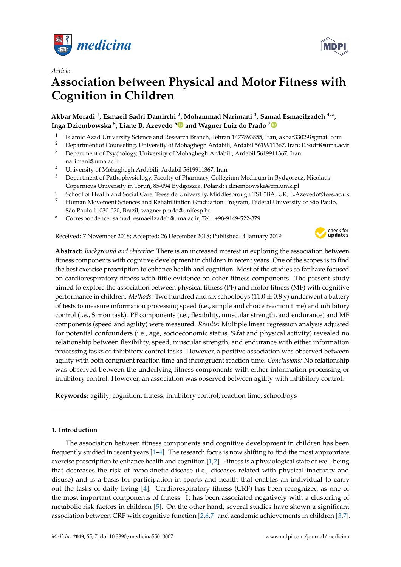

*Article*

# **Association between Physical and Motor Fitness with Cognition in Children**

# **Akbar Moradi <sup>1</sup> , Esmaeil Sadri Damirchi <sup>2</sup> , Mohammad Narimani <sup>3</sup> , Samad Esmaeilzadeh 4,\*, Inga Dziembowska <sup>5</sup> , Liane B. Azevedo [6](https://orcid.org/0000-0001-9966-9414) and Wagner Luiz do Prado [7](https://orcid.org/0000-0001-5046-4522)**

- 1 Islamic Azad University Science and Research Branch, Tehran 1477893855, Iran; akbar33029@gmail.com
- <sup>2</sup> Department of Counseling, University of Mohaghegh Ardabili, Ardabil 5619911367, Iran; E.Sadri@uma.ac.ir<br><sup>3</sup> Department of Psychology University of Mohaghegh Ardabili, Ardabil 5619911367, Iran;
- <sup>3</sup> Department of Psychology, University of Mohaghegh Ardabili, Ardabil 5619911367, Iran; narimani@uma.ac.ir
- <sup>4</sup> University of Mohaghegh Ardabili, Ardabil 5619911367, Iran
- <sup>5</sup> Department of Pathophysiology, Faculty of Pharmacy, Collegium Medicum in Bydgoszcz, Nicolaus Copernicus University in Toruń, 85-094 Bydgoszcz, Poland; i.dziembowska@cm.umk.pl
- <sup>6</sup> School of Health and Social Care, Teesside University, Middlesbrough TS1 3BA, UK; L.Azevedo@tees.ac.uk
- <sup>7</sup> Human Movement Sciences and Rehabilitation Graduation Program, Federal University of São Paulo, São Paulo 11030-020, Brazil; wagner.prado@unifesp.br
- **\*** Correspondence: samad\_esmaeilzadeh@uma.ac.ir; Tel.: +98-9149-522-379

Received: 7 November 2018; Accepted: 26 December 2018; Published: 4 January 2019



**Abstract:** *Background and objective:* There is an increased interest in exploring the association between fitness components with cognitive development in children in recent years. One of the scopes is to find the best exercise prescription to enhance health and cognition. Most of the studies so far have focused on cardiorespiratory fitness with little evidence on other fitness components. The present study aimed to explore the association between physical fitness (PF) and motor fitness (MF) with cognitive performance in children. *Methods:* Two hundred and six schoolboys  $(11.0 \pm 0.8 \text{ y})$  underwent a battery of tests to measure information processing speed (i.e., simple and choice reaction time) and inhibitory control (i.e., Simon task). PF components (i.e., flexibility, muscular strength, and endurance) and MF components (speed and agility) were measured. *Results:* Multiple linear regression analysis adjusted for potential confounders (i.e., age, socioeconomic status, %fat and physical activity) revealed no relationship between flexibility, speed, muscular strength, and endurance with either information processing tasks or inhibitory control tasks. However, a positive association was observed between agility with both congruent reaction time and incongruent reaction time. *Conclusions:* No relationship was observed between the underlying fitness components with either information processing or inhibitory control. However, an association was observed between agility with inhibitory control.

**Keywords:** agility; cognition; fitness; inhibitory control; reaction time; schoolboys

# **1. Introduction**

The association between fitness components and cognitive development in children has been frequently studied in recent years  $[1-4]$  $[1-4]$ . The research focus is now shifting to find the most appropriate exercise prescription to enhance health and cognition [\[1](#page-9-0)[,2\]](#page-9-2). Fitness is a physiological state of well-being that decreases the risk of hypokinetic disease (i.e., diseases related with physical inactivity and disuse) and is a basis for participation in sports and health that enables an individual to carry out the tasks of daily living [\[4\]](#page-9-1). Cardiorespiratory fitness (CRF) has been recognized as one of the most important components of fitness. It has been associated negatively with a clustering of metabolic risk factors in children [\[5\]](#page-9-3). On the other hand, several studies have shown a significant association between CRF with cognitive function [\[2](#page-9-2)[,6](#page-9-4)[,7\]](#page-9-5) and academic achievements in children [\[3,](#page-9-6)[7\]](#page-9-5).

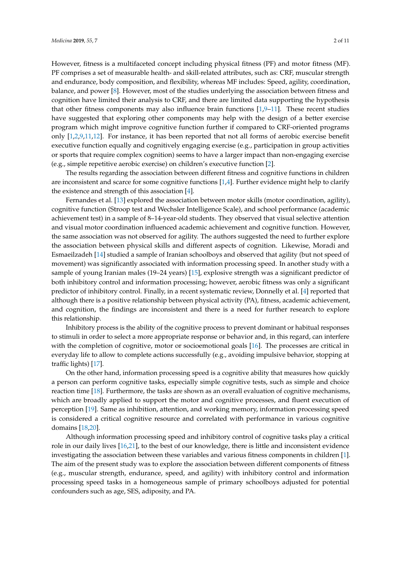However, fitness is a multifaceted concept including physical fitness (PF) and motor fitness (MF). PF comprises a set of measurable health- and skill-related attributes, such as: CRF, muscular strength and endurance, body composition, and flexibility, whereas MF includes: Speed, agility, coordination, balance, and power [\[8\]](#page-9-7). However, most of the studies underlying the association between fitness and cognition have limited their analysis to CRF, and there are limited data supporting the hypothesis that other fitness components may also influence brain functions  $[1,9-11]$  $[1,9-11]$  $[1,9-11]$ . These recent studies have suggested that exploring other components may help with the design of a better exercise program which might improve cognitive function further if compared to CRF-oriented programs only [\[1](#page-9-0)[,2](#page-9-2)[,9](#page-9-8)[,11,](#page-9-9)[12\]](#page-9-10). For instance, it has been reported that not all forms of aerobic exercise benefit executive function equally and cognitively engaging exercise (e.g., participation in group activities or sports that require complex cognition) seems to have a larger impact than non-engaging exercise (e.g., simple repetitive aerobic exercise) on children's executive function [\[2\]](#page-9-2).

The results regarding the association between different fitness and cognitive functions in children are inconsistent and scarce for some cognitive functions [\[1,](#page-9-0)[4\]](#page-9-1). Further evidence might help to clarify the existence and strength of this association [\[4\]](#page-9-1).

Fernandes et al. [\[13\]](#page-9-11) explored the association between motor skills (motor coordination, agility), cognitive function (Stroop test and Wechsler Intelligence Scale), and school performance (academic achievement test) in a sample of 8–14-year-old students. They observed that visual selective attention and visual motor coordination influenced academic achievement and cognitive function. However, the same association was not observed for agility. The authors suggested the need to further explore the association between physical skills and different aspects of cognition. Likewise, Moradi and Esmaeilzadeh [\[14\]](#page-9-12) studied a sample of Iranian schoolboys and observed that agility (but not speed of movement) was significantly associated with information processing speed. In another study with a sample of young Iranian males (19–24 years) [\[15\]](#page-9-13), explosive strength was a significant predictor of both inhibitory control and information processing; however, aerobic fitness was only a significant predictor of inhibitory control. Finally, in a recent systematic review, Donnelly et al. [\[4\]](#page-9-1) reported that although there is a positive relationship between physical activity (PA), fitness, academic achievement, and cognition, the findings are inconsistent and there is a need for further research to explore this relationship.

Inhibitory process is the ability of the cognitive process to prevent dominant or habitual responses to stimuli in order to select a more appropriate response or behavior and, in this regard, can interfere with the completion of cognitive, motor or socioemotional goals [\[16\]](#page-9-14). The processes are critical in everyday life to allow to complete actions successfully (e.g., avoiding impulsive behavior, stopping at traffic lights) [\[17\]](#page-9-15).

On the other hand, information processing speed is a cognitive ability that measures how quickly a person can perform cognitive tasks, especially simple cognitive tests, such as simple and choice reaction time [\[18\]](#page-9-16). Furthermore, the tasks are shown as an overall evaluation of cognitive mechanisms, which are broadly applied to support the motor and cognitive processes, and fluent execution of perception [\[19\]](#page-9-17). Same as inhibition, attention, and working memory, information processing speed is considered a critical cognitive resource and correlated with performance in various cognitive domains [\[18,](#page-9-16)[20\]](#page-10-0).

Although information processing speed and inhibitory control of cognitive tasks play a critical role in our daily lives [\[16,](#page-9-14)[21\]](#page-10-1), to the best of our knowledge, there is little and inconsistent evidence investigating the association between these variables and various fitness components in children [\[1\]](#page-9-0). The aim of the present study was to explore the association between different components of fitness (e.g., muscular strength, endurance, speed, and agility) with inhibitory control and information processing speed tasks in a homogeneous sample of primary schoolboys adjusted for potential confounders such as age, SES, adiposity, and PA.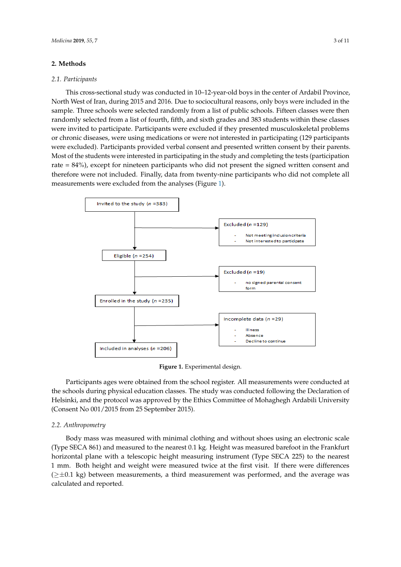# **2. Methods 2. Methods**

## *2.1. Participants 2.1. Participants*

This cross-sectional study was conducted in 10–12-year-old boys in the center of Ardabil Province, North West of Iran, during 2015 and 2016. Due to sociocultural reasons, only boys were included in the sample. Three schools were selected randomly from a list of public schools. Fifteen classes were then randomly selected from a list of fourth, fifth, and sixth grades and 383 students within these classes were invited to participate. Participants were excluded if they presented musculoskeletal problems or chronic diseases, were using medications or were not interested in participating (129 participants were excluded). Participants provided verbal consent and presented written consent by their parents. Most of the students were interested in participating in the study and completing the tests (participation rate = 84%), except for nineteen participants who did not present the signed written consent and therefore were not included. Finally, data from twenty-nine participants who did not complete all measureme[nts](#page-2-0) were excluded from the analyses (Figure 1).

<span id="page-2-0"></span>

**Figure 1.** Experimental design. **Figure 1.** Experimental design.

Helsinki, and the protocol was approved by the Ethics Committee of Mohaghegh Ardabili University (Consent No 001/2015 from 25 September 2015). Participants ages were obtained from the school register. All measurements were conducted at the schools during physical education classes. The study was conducted following the Declaration of

# University (Consent No 001/2015 from 25 September 2015). *2.2. Anthropometry*

*2.2. Anthropometry* (Type SECA 861) and measured to the nearest 0.1 kg. Height was measured barefoot in the Frankfurt horizontal plane with a telescopic height measuring instrument (Type SECA 225) to the nearest 1 mm. Both height and weight were measured twice at the first visit. If there were differences ( $\geq \pm 0.1$  kg) between measurements, a third measurement was performed, and the average was calculated and reported.  $\blacksquare$ Body mass was measured with minimal clothing and without shoes using an electronic scale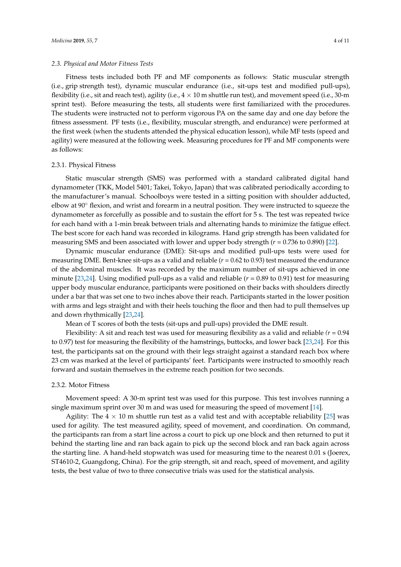#### *2.3. Physical and Motor Fitness Tests*

Fitness tests included both PF and MF components as follows: Static muscular strength (i.e., grip strength test), dynamic muscular endurance (i.e., sit-ups test and modified pull-ups), flexibility (i.e., sit and reach test), agility (i.e.,  $4 \times 10$  m shuttle run test), and movement speed (i.e., 30-m sprint test). Before measuring the tests, all students were first familiarized with the procedures. The students were instructed not to perform vigorous PA on the same day and one day before the fitness assessment. PF tests (i.e., flexibility, muscular strength, and endurance) were performed at the first week (when the students attended the physical education lesson), while MF tests (speed and agility) were measured at the following week. Measuring procedures for PF and MF components were as follows:

#### 2.3.1. Physical Fitness

Static muscular strength (SMS) was performed with a standard calibrated digital hand dynamometer (TKK, Model 5401; Takei, Tokyo, Japan) that was calibrated periodically according to the manufacturer's manual. Schoolboys were tested in a sitting position with shoulder adducted, elbow at 90◦ flexion, and wrist and forearm in a neutral position. They were instructed to squeeze the dynamometer as forcefully as possible and to sustain the effort for 5 s. The test was repeated twice for each hand with a 1-min break between trials and alternating hands to minimize the fatigue effect. The best score for each hand was recorded in kilograms. Hand grip strength has been validated for measuring SMS and been associated with lower and upper body strength (*r* = 0.736 to 0.890) [\[22\]](#page-10-2).

Dynamic muscular endurance (DME): Sit-ups and modified pull-ups tests were used for measuring DME. Bent-knee sit-ups as a valid and reliable ( $r = 0.62$  to 0.93) test measured the endurance of the abdominal muscles. It was recorded by the maximum number of sit-ups achieved in one minute  $[23,24]$  $[23,24]$ . Using modified pull-ups as a valid and reliable  $(r = 0.89$  to 0.91) test for measuring upper body muscular endurance, participants were positioned on their backs with shoulders directly under a bar that was set one to two inches above their reach. Participants started in the lower position with arms and legs straight and with their heels touching the floor and then had to pull themselves up and down rhythmically [\[23](#page-10-3)[,24\]](#page-10-4).

Mean of T scores of both the tests (sit-ups and pull-ups) provided the DME result.

Flexibility: A sit and reach test was used for measuring flexibility as a valid and reliable *(r* = 0.94 to 0.97) test for measuring the flexibility of the hamstrings, buttocks, and lower back [\[23,](#page-10-3)[24\]](#page-10-4). For this test, the participants sat on the ground with their legs straight against a standard reach box where 23 cm was marked at the level of participants' feet. Participants were instructed to smoothly reach forward and sustain themselves in the extreme reach position for two seconds.

#### 2.3.2. Motor Fitness

Movement speed: A 30-m sprint test was used for this purpose. This test involves running a single maximum sprint over 30 m and was used for measuring the speed of movement [\[14\]](#page-9-12).

Agility: The  $4 \times 10$  m shuttle run test as a valid test and with acceptable reliability [\[25\]](#page-10-5) was used for agility. The test measured agility, speed of movement, and coordination. On command, the participants ran from a start line across a court to pick up one block and then returned to put it behind the starting line and ran back again to pick up the second block and ran back again across the starting line. A hand-held stopwatch was used for measuring time to the nearest 0.01 s (Joerex, ST4610-2, Guangdong, China). For the grip strength, sit and reach, speed of movement, and agility tests, the best value of two to three consecutive trials was used for the statistical analysis.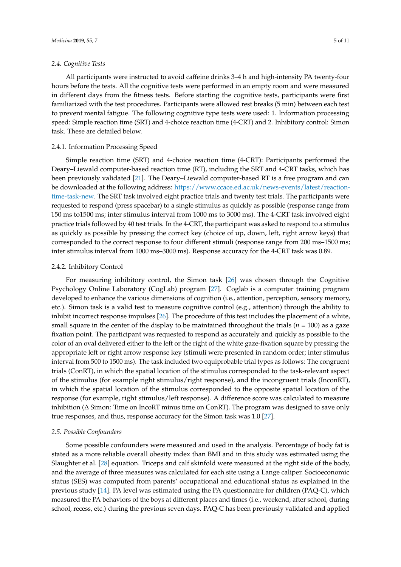#### *2.4. Cognitive Tests*

All participants were instructed to avoid caffeine drinks 3–4 h and high-intensity PA twenty-four hours before the tests. All the cognitive tests were performed in an empty room and were measured in different days from the fitness tests. Before starting the cognitive tests, participants were first familiarized with the test procedures. Participants were allowed rest breaks (5 min) between each test to prevent mental fatigue. The following cognitive type tests were used: 1. Information processing speed: Simple reaction time (SRT) and 4-choice reaction time (4-CRT) and 2. Inhibitory control: Simon task. These are detailed below.

## 2.4.1. Information Processing Speed

Simple reaction time (SRT) and 4-choice reaction time (4-CRT): Participants performed the Deary–Liewald computer-based reaction time (RT), including the SRT and 4-CRT tasks, which has been previously validated [\[21\]](#page-10-1). The Deary–Liewald computer-based RT is a free program and can be downloaded at the following address: [https://www.ccace.ed.ac.uk/news-events/latest/reaction](https://www.ccace.ed.ac.uk/news-events/latest/reaction-time-task-new)[time-task-new.](https://www.ccace.ed.ac.uk/news-events/latest/reaction-time-task-new) The SRT task involved eight practice trials and twenty test trials. The participants were requested to respond (press spacebar) to a single stimulus as quickly as possible (response range from 150 ms to1500 ms; inter stimulus interval from 1000 ms to 3000 ms). The 4-CRT task involved eight practice trials followed by 40 test trials. In the 4-CRT, the participant was asked to respond to a stimulus as quickly as possible by pressing the correct key (choice of up, down, left, right arrow keys) that corresponded to the correct response to four different stimuli (response range from 200 ms–1500 ms; inter stimulus interval from 1000 ms–3000 ms). Response accuracy for the 4-CRT task was 0.89.

#### 2.4.2. Inhibitory Control

For measuring inhibitory control, the Simon task [\[26\]](#page-10-6) was chosen through the Cognitive Psychology Online Laboratory (CogLab) program [\[27\]](#page-10-7). Coglab is a computer training program developed to enhance the various dimensions of cognition (i.e., attention, perception, sensory memory, etc.). Simon task is a valid test to measure cognitive control (e.g., attention) through the ability to inhibit incorrect response impulses [\[26\]](#page-10-6). The procedure of this test includes the placement of a white, small square in the center of the display to be maintained throughout the trials (*n* = 100) as a gaze fixation point. The participant was requested to respond as accurately and quickly as possible to the color of an oval delivered either to the left or the right of the white gaze-fixation square by pressing the appropriate left or right arrow response key (stimuli were presented in random order; inter stimulus interval from 500 to 1500 ms). The task included two equiprobable trial types as follows: The congruent trials (ConRT), in which the spatial location of the stimulus corresponded to the task-relevant aspect of the stimulus (for example right stimulus/right response), and the incongruent trials (InconRT), in which the spatial location of the stimulus corresponded to the opposite spatial location of the response (for example, right stimulus/left response). A difference score was calculated to measure inhibition (∆ Simon: Time on IncoRT minus time on ConRT). The program was designed to save only true responses, and thus, response accuracy for the Simon task was 1.0 [\[27\]](#page-10-7).

#### *2.5. Possible Confounders*

Some possible confounders were measured and used in the analysis. Percentage of body fat is stated as a more reliable overall obesity index than BMI and in this study was estimated using the Slaughter et al. [\[28\]](#page-10-8) equation. Triceps and calf skinfold were measured at the right side of the body, and the average of three measures was calculated for each site using a Lange caliper. Socioeconomic status (SES) was computed from parents' occupational and educational status as explained in the previous study [\[14\]](#page-9-12). PA level was estimated using the PA questionnaire for children (PAQ-C), which measured the PA behaviors of the boys at different places and times (i.e., weekend, after school, during school, recess, etc.) during the previous seven days. PAQ-C has been previously validated and applied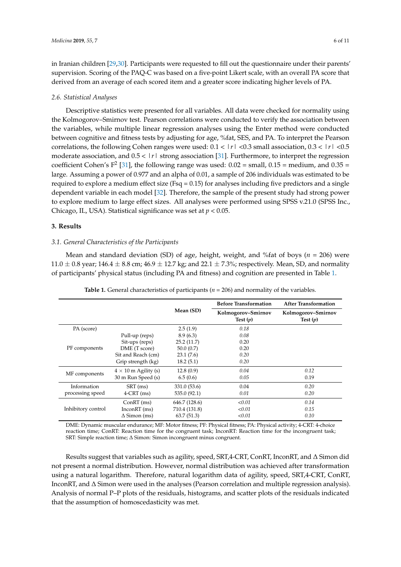in Iranian children [\[29](#page-10-9)[,30\]](#page-10-10). Participants were requested to fill out the questionnaire under their parents' supervision. Scoring of the PAQ-C was based on a five-point Likert scale, with an overall PA score that derived from an average of each scored item and a greater score indicating higher levels of PA.

# *2.6. Statistical Analyses*

Descriptive statistics were presented for all variables. All data were checked for normality using the Kolmogorov–Smirnov test. Pearson correlations were conducted to verify the association between the variables, while multiple linear regression analyses using the Enter method were conducted between cognitive and fitness tests by adjusting for age, %fat, SES, and PA. To interpret the Pearson correlations, the following Cohen ranges were used: 0.1 < |*r*| <0.3 small association, 0.3 < |*r*| <0.5 moderate association, and  $0.5 < |r|$  strong association [\[31\]](#page-10-11). Furthermore, to interpret the regression coefficient Cohen's  $F^2$  [\[31\]](#page-10-11), the following range was used: 0.02 = small, 0.15 = medium, and 0.35 = large. Assuming a power of 0.977 and an alpha of 0.01, a sample of 206 individuals was estimated to be required to explore a medium effect size (Fsq = 0.15) for analyses including five predictors and a single dependent variable in each model [\[32\]](#page-10-12). Therefore, the sample of the present study had strong power to explore medium to large effect sizes. All analyses were performed using SPSS v.21.0 (SPSS Inc., Chicago, IL, USA). Statistical significance was set at *p* < 0.05.

# **3. Results**

# *3.1. General Characteristics of the Participants*

Mean and standard deviation (SD) of age, height, weight, and %fat of boys (*n* = 206) were  $11.0 \pm 0.8$  year;  $146.4 \pm 8.8$  cm;  $46.9 \pm 12.7$  kg; and  $22.1 \pm 7.3$ %; respectively. Mean, SD, and normality of participants' physical status (including PA and fitness) and cognition are presented in Table [1.](#page-5-0)

<span id="page-5-0"></span>

|                    |                             |               | <b>Before Transformation</b>     | <b>After Transformation</b><br>Kolmogorov-Smirnov<br>Test $(p)$ |  |
|--------------------|-----------------------------|---------------|----------------------------------|-----------------------------------------------------------------|--|
|                    |                             | Mean (SD)     | Kolmogorov-Smirnov<br>Test $(p)$ |                                                                 |  |
| PA (score)         |                             | 2.5(1.9)      | 0.18                             |                                                                 |  |
|                    | Pull-up (reps)              | 8.9(6.3)      | 0.08                             |                                                                 |  |
|                    | Sit-ups (reps)              | 25.2(11.7)    | 0.20                             |                                                                 |  |
| PF components      | DME (T score)               | 50.0(0.7)     | 0.20                             |                                                                 |  |
|                    | Sit and Reach (cm)          | 23.1(7.6)     | 0.20                             |                                                                 |  |
|                    | Grip strength (kg)          | 18.2(5.1)     | 0.20                             |                                                                 |  |
| MF components      | $4 \times 10$ m Agility (s) | 12.8(0.9)     | 0.04                             | 0.12                                                            |  |
|                    | 30 m Run Speed (s)          | 6.5(0.6)      | 0.05                             | 0.19                                                            |  |
| Information        | SRT (ms)                    | 331.0 (53.6)  | 0.04                             | 0.20                                                            |  |
| processing speed   | $4-CRT$ (ms)                | 535.0 (92.1)  | 0.01                             | 0.20                                                            |  |
|                    | $ConRT$ (ms)                | 646.7 (128.6) | < 0.01                           | 0.14                                                            |  |
| Inhibitory control | $InconRT$ (ms)              | 710.4 (131.8) | < 0.01                           | 0.15                                                            |  |
|                    | $\Delta$ Simon (ms)         | 63.7(51.3)    | < 0.01                           | 0.10                                                            |  |

| Table 1. General characteristics of participants ( $n = 206$ ) and normality of the variables. |  |  |
|------------------------------------------------------------------------------------------------|--|--|
|------------------------------------------------------------------------------------------------|--|--|

DME: Dynamic muscular endurance; MF: Motor fitness; PF: Physical fitness; PA: Physical activity; 4-CRT: 4-choice reaction time; ConRT: Reaction time for the congruent task; InconRT: Reaction time for the incongruent task; SRT: Simple reaction time; ∆ Simon: Simon incongruent minus congruent.

Results suggest that variables such as agility, speed, SRT,4-CRT, ConRT, InconRT, and ∆ Simon did not present a normal distribution. However, normal distribution was achieved after transformation using a natural logarithm. Therefore, natural logarithm data of agility, speed, SRT,4-CRT, ConRT, InconRT, and ∆ Simon were used in the analyses (Pearson correlation and multiple regression analysis). Analysis of normal P–P plots of the residuals, histograms, and scatter plots of the residuals indicated that the assumption of homoscedasticity was met.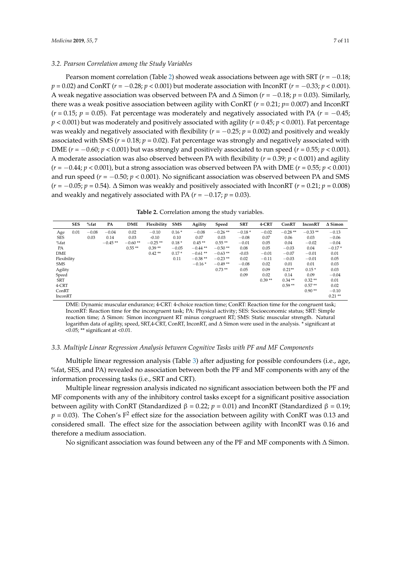#### *3.2. Pearson Correlation among the Study Variables*

Pearson moment correlation (Table [2\)](#page-6-0) showed weak associations between age with SRT (*r* = −0.18; *p* = 0.02) and ConRT (*r* = −0.28; *p* < 0.001) but moderate association with InconRT (*r* = −0.33; *p* < 0.001). A weak negative association was observed between PA and ∆ Simon (*r* = −0.18; *p* = 0.03). Similarly, there was a weak positive association between agility with ConRT (*r* = 0.21; *p*= 0.007) and InconRT (*r* = 0.15; *p* = 0.05). Fat percentage was moderately and negatively associated with PA (*r* = −0.45; *p* < 0.001) but was moderately and positively associated with agility (*r* = 0.45; *p* < 0.001). Fat percentage was weakly and negatively associated with flexibility ( $r = -0.25$ ;  $p = 0.002$ ) and positively and weakly associated with SMS ( $r = 0.18$ ;  $p = 0.02$ ). Fat percentage was strongly and negatively associated with DME  $(r = -0.60; p < 0.001)$  but was strongly and positively associated to run speed  $(r = 0.55; p < 0.001)$ . A moderate association was also observed between PA with flexibility (*r* = 0.39; *p* < 0.001) and agility (*r* = −0.44; *p* < 0.001), but a strong association was observed between PA with DME (*r* = 0.55; *p* < 0.001) and run speed (*r* = −0.50; *p* < 0.001). No significant association was observed between PA and SMS  $(r = -0.05; p = 0.54)$ .  $\Delta$  Simon was weakly and positively associated with InconRT ( $r = 0.21; p = 0.008$ ) and weakly and negatively associated with PA  $(r = -0.17; p = 0.03)$ .

|  | Table 2. Correlation among the study variables. |  |  |  |  |
|--|-------------------------------------------------|--|--|--|--|
|--|-------------------------------------------------|--|--|--|--|

<span id="page-6-0"></span>

|             | <b>SES</b> | $%$ fat | PA        | <b>DME</b> | Flexibility | <b>SMS</b> | Agility    | Speed      | <b>SRT</b> | 4-CRT    | ConRT     | InconRT   | $\Delta$ Simon |
|-------------|------------|---------|-----------|------------|-------------|------------|------------|------------|------------|----------|-----------|-----------|----------------|
| Age         | 0.01       | $-0.08$ | $-0.04$   | 0.02       | $-0.10$     | $0.16*$    | $-0.08$    | $-0.26**$  | $-0.18*$   | $-0.02$  | $-0.28**$ | $-0.33**$ | $-0.13$        |
| <b>SES</b>  |            | 0.03    | 0.14      | 0.03       | $-0.10$     | 0.10       | 0.07       | 0.03       | $-0.08$    | 0.07     | 0.06      | 0.03      | $-0.06$        |
| %fat        |            |         | $-0.45**$ | $-0.60**$  | $-0.25**$   | $0.18*$    | $0.45**$   | $0.55**$   | $-0.01$    | 0.05     | 0.04      | $-0.02$   | $-0.04$        |
| PA          |            |         |           | $0.55**$   | $0.39**$    | $-0.05$    | $-0.44$ ** | $-0.50**$  | 0.08       | 0.05     | $-0.03$   | 0.04      | $-0.17*$       |
| <b>DME</b>  |            |         |           |            | $0.42**$    | $0.17*$    | $-0.61**$  | $-0.63**$  | $-0.03$    | $-0.01$  | $-0.07$   | $-0.01$   | 0.01           |
| Flexibility |            |         |           |            |             | 0.11       | $-0.38**$  | $-0.23$ ** | 0.02       | $-0.11$  | $-0.03$   | $-0.01$   | 0.05           |
| <b>SMS</b>  |            |         |           |            |             |            | $-0.16*$   | $-0.49**$  | $-0.08$    | 0.02     | 0.01      | 0.01      | 0.03           |
| Agility     |            |         |           |            |             |            |            | $0.73**$   | 0.05       | 0.09     | $0.21**$  | $0.15*$   | 0.03           |
| Speed       |            |         |           |            |             |            |            |            | 0.09       | 0.02     | 0.14      | 0.09      | $-0.04$        |
| <b>SRT</b>  |            |         |           |            |             |            |            |            |            | $0.39**$ | $0.34**$  | $0.32**$  | 0.01           |
| 4-CRT       |            |         |           |            |             |            |            |            |            |          | $0.59**$  | $0.57**$  | 0.02           |
| ConRT       |            |         |           |            |             |            |            |            |            |          |           | $0.90**$  | $-0.10$        |
| InconRT     |            |         |           |            |             |            |            |            |            |          |           |           | $0.21**$       |

DME: Dynamic muscular endurance; 4-CRT: 4-choice reaction time; ConRT: Reaction time for the congruent task; InconRT: Reaction time for the incongruent task; PA: Physical activity; SES: Socioeconomic status; SRT: Simple reaction time; ∆ Simon: Simon incongruent RT minus congruent RT; SMS: Static muscular strength. Natural logarithm data of agility, speed, SRT,4-CRT, ConRT, InconRT, and ∆ Simon were used in the analysis. \* significant at  $<$ 0.05; \*\* significant at  $<$ 0.01.

#### *3.3. Multiple Linear Regression Analysis between Cognitive Tasks with PF and MF Components*

Multiple linear regression analysis (Table [3\)](#page-7-0) after adjusting for possible confounders (i.e., age, %fat, SES, and PA) revealed no association between both the PF and MF components with any of the information processing tasks (i.e., SRT and CRT).

Multiple linear regression analysis indicated no significant association between both the PF and MF components with any of the inhibitory control tasks except for a significant positive association between agility with ConRT (Standardized β = 0.22;  $p = 0.01$ ) and InconRT (Standardized β = 0.19;  $p = 0.03$ ). The Cohen's F<sup>2</sup> effect size for the association between agility with ConRT was 0.13 and considered small. The effect size for the association between agility with InconRT was 0.16 and therefore a medium association.

No significant association was found between any of the PF and MF components with ∆ Simon.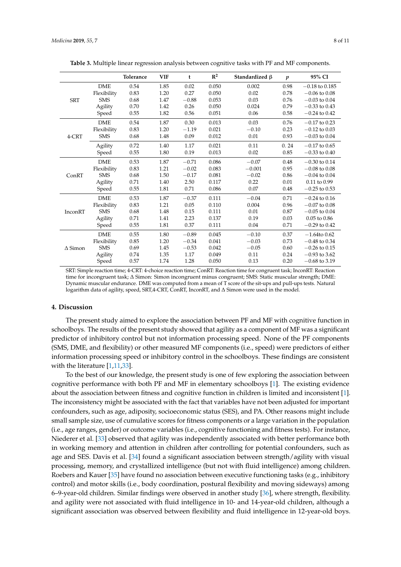<span id="page-7-0"></span>

|                |             | Tolerance | <b>VIF</b> | t       | $\mathbb{R}^2$ | Standardized $\beta$ | $\boldsymbol{p}$ | 95% CI            |
|----------------|-------------|-----------|------------|---------|----------------|----------------------|------------------|-------------------|
|                | <b>DME</b>  | 0.54      | 1.85       | 0.02    | 0.050          | 0.002                | 0.98             | $-0.18$ to 0.185  |
|                | Flexibility | 0.83      | 1.20       | 0.27    | 0.050          | 0.02                 | 0.78             | $-0.06$ to 0.08   |
| <b>SRT</b>     | <b>SMS</b>  | 0.68      | 1.47       | $-0.88$ | 0.053          | 0.03                 | 0.76             | $-0.03$ to 0.04   |
|                | Agility     | $0.70\,$  | 1.42       | 0.26    | 0.050          | 0.024                | 0.79             | $-0.33$ to 0.43   |
|                | Speed       | 0.55      | 1.82       | 0.56    | 0.051          | 0.06                 | 0.58             | $-0.24$ to 0.42   |
|                | <b>DME</b>  | 0.54      | 1.87       | 0.30    | 0.013          | 0.03                 | 0.76             | $-0.17$ to 0.23   |
|                | Flexibility | 0.83      | 1.20       | $-1.19$ | 0.021          | $-0.10$              | 0.23             | $-0.12$ to 0.03   |
| 4-CRT          | <b>SMS</b>  | 0.68      | 1.48       | 0.09    | 0.012          | 0.01                 | 0.93             | $-0.03$ to $0.04$ |
|                | Agility     | 0.72      | 1.40       | 1.17    | 0.021          | 0.11                 | 0.24             | $-0.17$ to 0.65   |
|                | Speed       | 0.55      | 1.80       | 0.19    | 0.013          | 0.02                 | 0.85             | $-0.33$ to 0.40   |
|                | <b>DME</b>  | 0.53      | 1.87       | $-0.71$ | 0.086          | $-0.07$              | 0.48             | $-0.30$ to 0.14   |
|                | Flexibility | 0.83      | 1.21       | $-0.02$ | 0.083          | $-0.001$             | 0.95             | $-0.08$ to 0.08   |
| ConRT          | <b>SMS</b>  | 0.68      | 1.50       | $-0.17$ | 0.081          | $-0.02$              | 0.86             | $-0.04$ to 0.04   |
|                | Agility     | 0.71      | 1.40       | 2.50    | 0.117          | 0.22                 | 0.01             | 0.11 to 0.99      |
|                | Speed       | 0.55      | 1.81       | 0.71    | 0.086          | 0.07                 | 0.48             | $-0.25$ to 0.53   |
|                | <b>DME</b>  | 0.53      | 1.87       | $-0.37$ | 0.111          | $-0.04$              | 0.71             | $-0.24$ to 0.16   |
|                | Flexibility | 0.83      | 1.21       | 0.05    | 0.110          | 0.004                | 0.96             | $-0.07$ to 0.08   |
| InconRT        | <b>SMS</b>  | 0.68      | 1.48       | 0.15    | 0.111          | 0.01                 | 0.87             | $-0.05$ to 0.04   |
|                | Agility     | 0.71      | 1.41       | 2.23    | 0.137          | 0.19                 | 0.03             | $0.05$ to $0.86$  |
|                | Speed       | 0.55      | 1.81       | 0.37    | 0.111          | 0.04                 | 0.71             | $-0.29$ to 0.42   |
| $\Delta$ Simon | <b>DME</b>  | 0.55      | 1.80       | $-0.89$ | 0.045          | $-0.10$              | 0.37             | $-1.64$ to 0.62   |
|                | Flexibility | 0.85      | 1.20       | $-0.34$ | 0.041          | $-0.03$              | 0.73             | $-0.48$ to 0.34   |
|                | <b>SMS</b>  | 0.69      | 1.45       | $-0.53$ | 0.042          | $-0.05$              | 0.60             | $-0.26$ to 0.15   |
|                | Agility     | 0.74      | 1.35       | 1.17    | 0.049          | 0.11                 | 0.24             | $-0.93$ to 3.62   |
|                | Speed       | 0.57      | 1.74       | 1.28    | 0.050          | 0.13                 | 0.20             | $-0.68$ to 3.19   |

**Table 3.** Multiple linear regression analysis between cognitive tasks with PF and MF components.

SRT: Simple reaction time; 4-CRT: 4-choice reaction time; ConRT: Reaction time for congruent task; InconRT: Reaction time for incongruent task; ∆ Simon: Simon incongruent minus congruent; SMS: Static muscular strength; DME: Dynamic muscular endurance. DME was computed from a mean of T score of the sit-ups and pull-ups tests. Natural logarithm data of agility, speed, SRT,4-CRT, ConRT, InconRT, and ∆ Simon were used in the model.

#### **4. Discussion**

The present study aimed to explore the association between PF and MF with cognitive function in schoolboys. The results of the present study showed that agility as a component of MF was a significant predictor of inhibitory control but not information processing speed. None of the PF components (SMS, DME, and flexibility) or other measured MF components (i.e., speed) were predictors of either information processing speed or inhibitory control in the schoolboys. These findings are consistent with the literature [\[1](#page-9-0)[,11](#page-9-9)[,33\]](#page-10-13).

To the best of our knowledge, the present study is one of few exploring the association between cognitive performance with both PF and MF in elementary schoolboys [\[1\]](#page-9-0). The existing evidence about the association between fitness and cognitive function in children is limited and inconsistent [\[1\]](#page-9-0). The inconsistency might be associated with the fact that variables have not been adjusted for important confounders, such as age, adiposity, socioeconomic status (SES), and PA. Other reasons might include small sample size, use of cumulative scores for fitness components or a large variation in the population (i.e., age ranges, gender) or outcome variables (i.e., cognitive functioning and fitness tests). For instance, Niederer et al. [\[33\]](#page-10-13) observed that agility was independently associated with better performance both in working memory and attention in children after controlling for potential confounders, such as age and SES. Davis et al. [\[34\]](#page-10-14) found a significant association between strength/agility with visual processing, memory, and crystallized intelligence (but not with fluid intelligence) among children. Roebers and Kauer [\[35\]](#page-10-15) have found no association between executive functioning tasks (e.g., inhibitory control) and motor skills (i.e., body coordination, postural flexibility and moving sideways) among 6–9-year-old children. Similar findings were observed in another study [\[36\]](#page-10-16), where strength, flexibility. and agility were not associated with fluid intelligence in 10- and 14-year-old children, although a significant association was observed between flexibility and fluid intelligence in 12-year-old boys.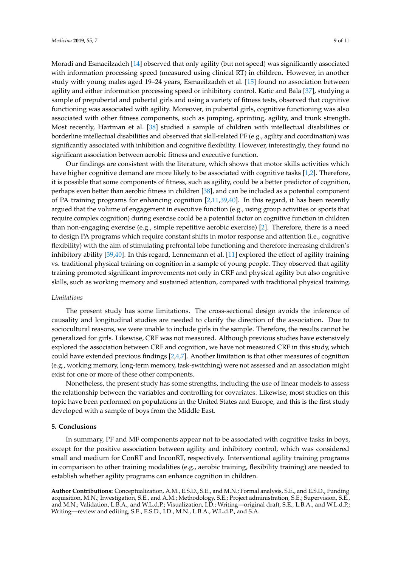Moradi and Esmaeilzadeh [\[14\]](#page-9-12) observed that only agility (but not speed) was significantly associated with information processing speed (measured using clinical RT) in children. However, in another study with young males aged 19–24 years, Esmaeilzadeh et al. [\[15\]](#page-9-13) found no association between agility and either information processing speed or inhibitory control. Katic and Bala [\[37\]](#page-10-17), studying a sample of prepubertal and pubertal girls and using a variety of fitness tests, observed that cognitive functioning was associated with agility. Moreover, in pubertal girls, cognitive functioning was also associated with other fitness components, such as jumping, sprinting, agility, and trunk strength. Most recently, Hartman et al. [\[38\]](#page-10-18) studied a sample of children with intellectual disabilities or borderline intellectual disabilities and observed that skill-related PF (e.g., agility and coordination) was significantly associated with inhibition and cognitive flexibility. However, interestingly, they found no significant association between aerobic fitness and executive function.

Our findings are consistent with the literature, which shows that motor skills activities which have higher cognitive demand are more likely to be associated with cognitive tasks [\[1](#page-9-0)[,2\]](#page-9-2). Therefore, it is possible that some components of fitness, such as agility, could be a better predictor of cognition, perhaps even better than aerobic fitness in children [\[38\]](#page-10-18), and can be included as a potential component of PA training programs for enhancing cognition [\[2](#page-9-2)[,11](#page-9-9)[,39](#page-10-19)[,40\]](#page-10-20). In this regard, it has been recently argued that the volume of engagement in executive function (e.g., using group activities or sports that require complex cognition) during exercise could be a potential factor on cognitive function in children than non-engaging exercise (e.g., simple repetitive aerobic exercise) [\[2\]](#page-9-2). Therefore, there is a need to design PA programs which require constant shifts in motor response and attention (i.e., cognitive flexibility) with the aim of stimulating prefrontal lobe functioning and therefore increasing children's inhibitory ability [\[39](#page-10-19)[,40\]](#page-10-20). In this regard, Lennemann et al. [\[11\]](#page-9-9) explored the effect of agility training vs. traditional physical training on cognition in a sample of young people. They observed that agility training promoted significant improvements not only in CRF and physical agility but also cognitive skills, such as working memory and sustained attention, compared with traditional physical training.

#### *Limitations*

The present study has some limitations. The cross-sectional design avoids the inference of causality and longitudinal studies are needed to clarify the direction of the association. Due to sociocultural reasons, we were unable to include girls in the sample. Therefore, the results cannot be generalized for girls. Likewise, CRF was not measured. Although previous studies have extensively explored the association between CRF and cognition, we have not measured CRF in this study, which could have extended previous findings [\[2,](#page-9-2)[4,](#page-9-1)[7\]](#page-9-5). Another limitation is that other measures of cognition (e.g., working memory, long-term memory, task-switching) were not assessed and an association might exist for one or more of these other components.

Nonetheless, the present study has some strengths, including the use of linear models to assess the relationship between the variables and controlling for covariates. Likewise, most studies on this topic have been performed on populations in the United States and Europe, and this is the first study developed with a sample of boys from the Middle East.

#### **5. Conclusions**

In summary, PF and MF components appear not to be associated with cognitive tasks in boys, except for the positive association between agility and inhibitory control, which was considered small and medium for ConRT and InconRT, respectively. Interventional agility training programs in comparison to other training modalities (e.g., aerobic training, flexibility training) are needed to establish whether agility programs can enhance cognition in children.

**Author Contributions:** Conceptualization, A.M., E.S.D., S.E., and M.N.; Formal analysis, S.E., and E.S.D., Funding acquisition, M.N.; Investigation, S.E., and A.M.; Methodology, S.E.; Project administration, S.E.; Supervision, S.E., and M.N.; Validation, L.B.A., and W.L.d.P.; Visualization, I.D.; Writing—original draft, S.E., L.B.A., and W.L.d.P.; Writing—review and editing, S.E., E.S.D., I.D., M.N., L.B.A., W.L.d.P., and S.A.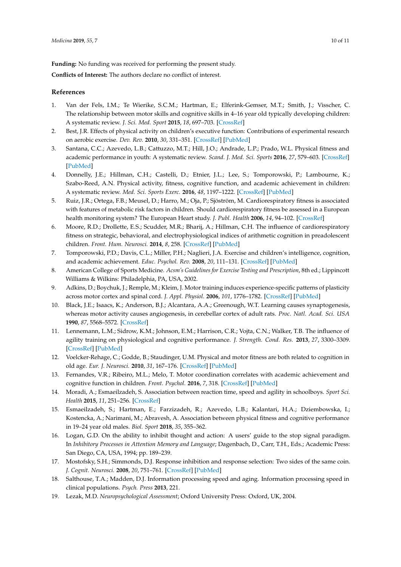**Funding:** No funding was received for performing the present study. **Conflicts of Interest:** The authors declare no conflict of interest.

## **References**

- <span id="page-9-0"></span>1. Van der Fels, I.M.; Te Wierike, S.C.M.; Hartman, E.; Elferink-Gemser, M.T.; Smith, J.; Visscher, C. The relationship between motor skills and cognitive skills in 4–16 year old typically developing children: A systematic review. *J. Sci. Med. Sport* **2015**, *18*, 697–703. [\[CrossRef\]](http://dx.doi.org/10.1016/j.jsams.2014.09.007)
- <span id="page-9-2"></span>2. Best, J.R. Effects of physical activity on children's executive function: Contributions of experimental research on aerobic exercise. *Dev. Rev.* **2010**, *30*, 331–351. [\[CrossRef\]](http://dx.doi.org/10.1016/j.dr.2010.08.001) [\[PubMed\]](http://www.ncbi.nlm.nih.gov/pubmed/21818169)
- <span id="page-9-6"></span>3. Santana, C.C.; Azevedo, L.B.; Cattuzzo, M.T.; Hill, J.O.; Andrade, L.P.; Prado, W.L. Physical fitness and academic performance in youth: A systematic review. *Scand. J. Med. Sci. Sports* **2016**, *27*, 579–603. [\[CrossRef\]](http://dx.doi.org/10.1111/sms.12773) [\[PubMed\]](http://www.ncbi.nlm.nih.gov/pubmed/27714852)
- <span id="page-9-1"></span>4. Donnelly, J.E.; Hillman, C.H.; Castelli, D.; Etnier, J.L.; Lee, S.; Tomporowski, P.; Lambourne, K.; Szabo-Reed, A.N. Physical activity, fitness, cognitive function, and academic achievement in children: A systematic review. *Med. Sci. Sports Exerc.* **2016**, *48*, 1197–1222. [\[CrossRef\]](http://dx.doi.org/10.1249/MSS.0000000000000901) [\[PubMed\]](http://www.ncbi.nlm.nih.gov/pubmed/27182986)
- <span id="page-9-3"></span>5. Ruiz, J.R.; Ortega, F.B.; Meusel, D.; Harro, M.; Oja, P.; Sjöström, M. Cardiorespiratory fitness is associated with features of metabolic risk factors in children. Should cardiorespiratory fitness be assessed in a European health monitoring system? The European Heart study. *J. Publ. Health* **2006**, *14*, 94–102. [\[CrossRef\]](http://dx.doi.org/10.1007/s10389-006-0026-8)
- <span id="page-9-4"></span>6. Moore, R.D.; Drollette, E.S.; Scudder, M.R.; Bharij, A.; Hillman, C.H. The influence of cardiorespiratory fitness on strategic, behavioral, and electrophysiological indices of arithmetic cognition in preadolescent children. *Front. Hum. Neurosci.* **2014**, *8*, 258. [\[CrossRef\]](http://dx.doi.org/10.3389/fnhum.2014.00258) [\[PubMed\]](http://www.ncbi.nlm.nih.gov/pubmed/24829556)
- <span id="page-9-5"></span>7. Tomporowski, P.D.; Davis, C.L.; Miller, P.H.; Naglieri, J.A. Exercise and children's intelligence, cognition, and academic achievement. *Educ. Psychol. Rev.* **2008**, *20*, 111–131. [\[CrossRef\]](http://dx.doi.org/10.1007/s10648-007-9057-0) [\[PubMed\]](http://www.ncbi.nlm.nih.gov/pubmed/19777141)
- <span id="page-9-7"></span>8. American College of Sports Medicine. *Acsm's Guidelines for Exercise Testing and Prescription*, 8th ed.; Lippincott Williams & Wilkins: Philadelphia, PA, USA, 2002.
- <span id="page-9-8"></span>9. Adkins, D.; Boychuk, J.; Remple, M.; Kleim, J. Motor training induces experience-specific patterns of plasticity across motor cortex and spinal cord. *J. Appl. Physiol.* **2006**, *101*, 1776–1782. [\[CrossRef\]](http://dx.doi.org/10.1152/japplphysiol.00515.2006) [\[PubMed\]](http://www.ncbi.nlm.nih.gov/pubmed/16959909)
- 10. Black, J.E.; Isaacs, K.; Anderson, B.J.; Alcantara, A.A.; Greenough, W.T. Learning causes synaptogenesis, whereas motor activity causes angiogenesis, in cerebellar cortex of adult rats. *Proc. Natl. Acad. Sci. USA* **1990**, *87*, 5568–5572. [\[CrossRef\]](http://dx.doi.org/10.1073/pnas.87.14.5568)
- <span id="page-9-9"></span>11. Lennemann, L.M.; Sidrow, K.M.; Johnson, E.M.; Harrison, C.R.; Vojta, C.N.; Walker, T.B. The influence of agility training on physiological and cognitive performance. *J. Strength. Cond. Res.* **2013**, *27*, 3300–3309. [\[CrossRef\]](http://dx.doi.org/10.1519/JSC.0b013e31828ddf06) [\[PubMed\]](http://www.ncbi.nlm.nih.gov/pubmed/23442271)
- <span id="page-9-10"></span>12. Voelcker-Rehage, C.; Godde, B.; Staudinger, U.M. Physical and motor fitness are both related to cognition in old age. *Eur. J. Neurosci.* **2010**, *31*, 167–176. [\[CrossRef\]](http://dx.doi.org/10.1111/j.1460-9568.2009.07014.x) [\[PubMed\]](http://www.ncbi.nlm.nih.gov/pubmed/20092563)
- <span id="page-9-11"></span>13. Fernandes, V.R.; Ribeiro, M.L.; Melo, T. Motor coordination correlates with academic achievement and cognitive function in children. *Front. Psychol.* **2016**, *7*, 318. [\[CrossRef\]](http://dx.doi.org/10.3389/fpsyg.2016.00318) [\[PubMed\]](http://www.ncbi.nlm.nih.gov/pubmed/27014130)
- <span id="page-9-12"></span>14. Moradi, A.; Esmaeilzadeh, S. Association between reaction time, speed and agility in schoolboys. *Sport Sci. Health* **2015**, *11*, 251–256. [\[CrossRef\]](http://dx.doi.org/10.1007/s11332-015-0230-4)
- <span id="page-9-13"></span>15. Esmaeilzadeh, S.; Hartman, E.; Farzizadeh, R.; Azevedo, L.B.; Kalantari, H.A.; Dziembowska, I.; Kostencka, A.; Narimani, M.; Abravesh, A. Association between physical fitness and cognitive performance in 19–24 year old males. *Biol. Sport* **2018**, *35*, 355–362.
- <span id="page-9-14"></span>16. Logan, G.D. On the ability to inhibit thought and action: A users' guide to the stop signal paradigm. In *Inhibitory Processes in Attention Memory and Language*; Dagenbach, D., Carr, T.H., Eds.; Academic Press: San Diego, CA, USA, 1994; pp. 189–239.
- <span id="page-9-15"></span>17. Mostofsky, S.H.; Simmonds, D.J. Response inhibition and response selection: Two sides of the same coin. *J. Cognit. Neurosci.* **2008**, *20*, 751–761. [\[CrossRef\]](http://dx.doi.org/10.1162/jocn.2008.20500) [\[PubMed\]](http://www.ncbi.nlm.nih.gov/pubmed/18201122)
- <span id="page-9-16"></span>18. Salthouse, T.A.; Madden, D.J. Information processing speed and aging. Information processing speed in clinical populations. *Psych. Press* **2013**, 221.
- <span id="page-9-17"></span>19. Lezak, M.D. *Neuropsychological Assessment*; Oxford University Press: Oxford, UK, 2004.